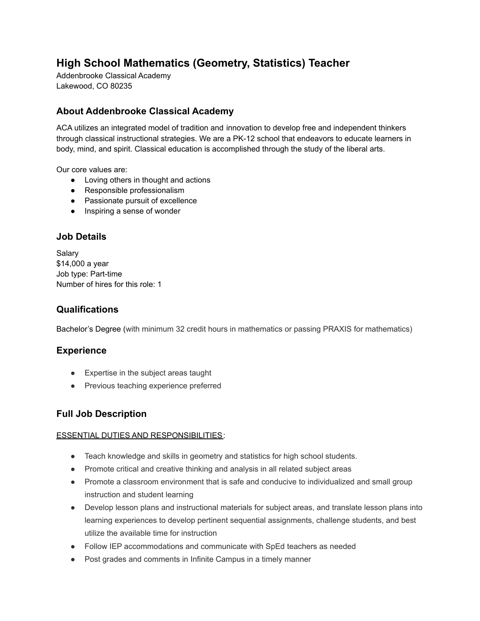# **High School Mathematics (Geometry, Statistics) Teacher**

Addenbrooke Classical Academy Lakewood, CO 80235

## **About Addenbrooke Classical Academy**

ACA utilizes an integrated model of tradition and innovation to develop free and independent thinkers through classical instructional strategies. We are a PK-12 school that endeavors to educate learners in body, mind, and spirit. Classical education is accomplished through the study of the liberal arts.

Our core values are:

- Loving others in thought and actions
- Responsible professionalism
- Passionate pursuit of excellence
- Inspiring a sense of wonder

## **Job Details**

Salary \$14,000 a year Job type: Part-time Number of hires for this role: 1

## **Qualifications**

Bachelor's Degree (with minimum 32 credit hours in mathematics or passing PRAXIS for mathematics)

#### **Experience**

- Expertise in the subject areas taught
- Previous teaching experience preferred

## **Full Job Description**

#### ESSENTIAL DUTIES AND RESPONSIBILITIES:

- Teach knowledge and skills in geometry and statistics for high school students.
- Promote critical and creative thinking and analysis in all related subject areas
- Promote a classroom environment that is safe and conducive to individualized and small group instruction and student learning
- Develop lesson plans and instructional materials for subject areas, and translate lesson plans into learning experiences to develop pertinent sequential assignments, challenge students, and best utilize the available time for instruction
- Follow IEP accommodations and communicate with SpEd teachers as needed
- Post grades and comments in Infinite Campus in a timely manner